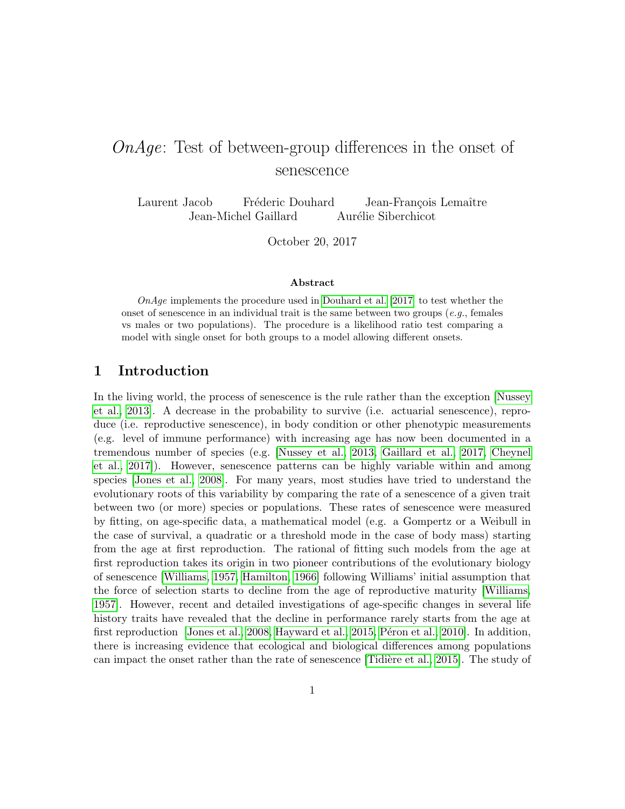# OnAge: Test of between-group differences in the onset of senescence

Laurent Jacob Fréderic Douhard Jean-François Lemaître Jean-Michel Gaillard Aurélie Siberchicot

October 20, 2017

#### Abstract

OnAge implements the procedure used in [Douhard et al.](#page-16-0) [\[2017\]](#page-16-0) to test whether the onset of senescence in an individual trait is the same between two groups  $(e.g.,$  females vs males or two populations). The procedure is a likelihood ratio test comparing a model with single onset for both groups to a model allowing different onsets.

### 1 Introduction

In the living world, the process of senescence is the rule rather than the exception [\[Nussey](#page-17-0) [et al., 2013\]](#page-17-0). A decrease in the probability to survive (i.e. actuarial senescence), reproduce (i.e. reproductive senescence), in body condition or other phenotypic measurements (e.g. level of immune performance) with increasing age has now been documented in a tremendous number of species (e.g. [\[Nussey et al., 2013,](#page-17-0) [Gaillard et al., 2017,](#page-16-1) [Cheynel](#page-16-2) [et al., 2017\]](#page-16-2)). However, senescence patterns can be highly variable within and among species [\[Jones et al., 2008\]](#page-17-1). For many years, most studies have tried to understand the evolutionary roots of this variability by comparing the rate of a senescence of a given trait between two (or more) species or populations. These rates of senescence were measured by fitting, on age-specific data, a mathematical model (e.g. a Gompertz or a Weibull in the case of survival, a quadratic or a threshold mode in the case of body mass) starting from the age at first reproduction. The rational of fitting such models from the age at first reproduction takes its origin in two pioneer contributions of the evolutionary biology of senescence [\[Williams, 1957,](#page-17-2) [Hamilton, 1966\]](#page-16-3) following Williams' initial assumption that the force of selection starts to decline from the age of reproductive maturity [\[Williams,](#page-17-2) [1957\]](#page-17-2). However, recent and detailed investigations of age-specific changes in several life history traits have revealed that the decline in performance rarely starts from the age at first reproduction [\[Jones et al., 2008,](#page-17-1) [Hayward et al., 2015,](#page-17-3) Péron et al., 2010]. In addition, there is increasing evidence that ecological and biological differences among populations can impact the onset rather than the rate of senescence [Tidière et al., 2015]. The study of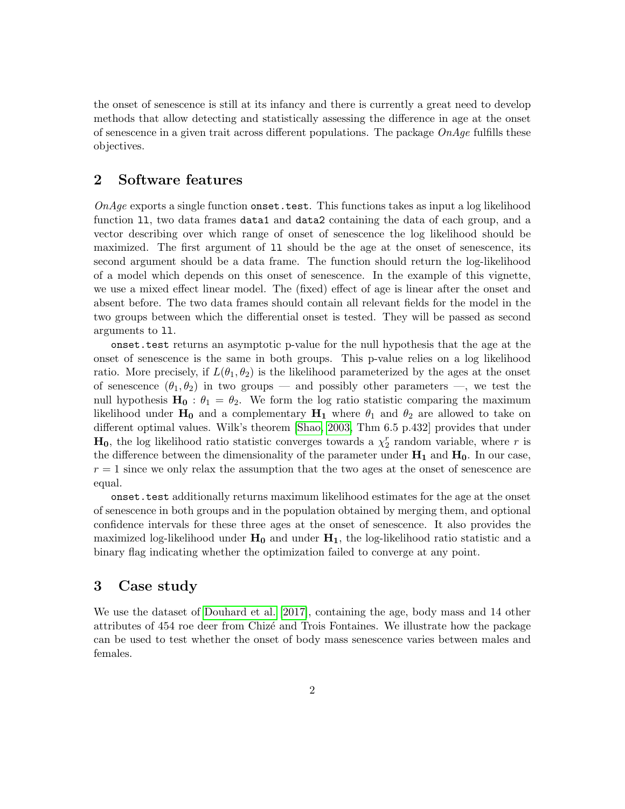the onset of senescence is still at its infancy and there is currently a great need to develop methods that allow detecting and statistically assessing the difference in age at the onset of senescence in a given trait across different populations. The package  $OnAge$  fulfills these objectives.

### 2 Software features

 $OnAge$  exports a single function onset.test. This functions takes as input a log likelihood function ll, two data frames data1 and data2 containing the data of each group, and a vector describing over which range of onset of senescence the log likelihood should be maximized. The first argument of ll should be the age at the onset of senescence, its second argument should be a data frame. The function should return the log-likelihood of a model which depends on this onset of senescence. In the example of this vignette, we use a mixed effect linear model. The (fixed) effect of age is linear after the onset and absent before. The two data frames should contain all relevant fields for the model in the two groups between which the differential onset is tested. They will be passed as second arguments to ll.

onset.test returns an asymptotic p-value for the null hypothesis that the age at the onset of senescence is the same in both groups. This p-value relies on a log likelihood ratio. More precisely, if  $L(\theta_1, \theta_2)$  is the likelihood parameterized by the ages at the onset of senescence  $(\theta_1, \theta_2)$  in two groups — and possibly other parameters —, we test the null hypothesis  $H_0$ :  $\theta_1 = \theta_2$ . We form the log ratio statistic comparing the maximum likelihood under  $H_0$  and a complementary  $H_1$  where  $\theta_1$  and  $\theta_2$  are allowed to take on different optimal values. Wilk's theorem [\[Shao, 2003,](#page-17-6) Thm 6.5 p.432] provides that under  $H_0$ , the log likelihood ratio statistic converges towards a  $\chi_2^r$  random variable, where r is the difference between the dimensionality of the parameter under  $H_1$  and  $H_0$ . In our case,  $r = 1$  since we only relax the assumption that the two ages at the onset of senescence are equal.

onset.test additionally returns maximum likelihood estimates for the age at the onset of senescence in both groups and in the population obtained by merging them, and optional confidence intervals for these three ages at the onset of senescence. It also provides the maximized log-likelihood under  $H_0$  and under  $H_1$ , the log-likelihood ratio statistic and a binary flag indicating whether the optimization failed to converge at any point.

### 3 Case study

We use the dataset of [Douhard et al.](#page-16-0) [\[2017\]](#page-16-0), containing the age, body mass and 14 other attributes of 454 roe deer from Chizec and Trois Fontaines. We illustrate how the package can be used to test whether the onset of body mass senescence varies between males and females.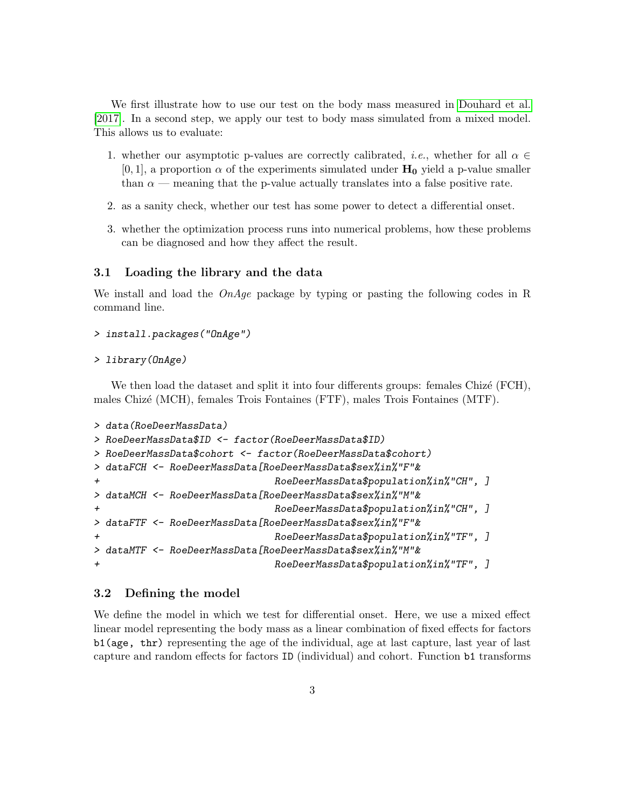We first illustrate how to use our test on the body mass measured in [Douhard et al.](#page-16-0) [\[2017\]](#page-16-0). In a second step, we apply our test to body mass simulated from a mixed model. This allows us to evaluate:

- 1. whether our asymptotic p-values are correctly calibrated, *i.e.*, whether for all  $\alpha \in$  $[0, 1]$ , a proportion  $\alpha$  of the experiments simulated under  $H_0$  yield a p-value smaller than  $\alpha$  — meaning that the p-value actually translates into a false positive rate.
- 2. as a sanity check, whether our test has some power to detect a differential onset.
- 3. whether the optimization process runs into numerical problems, how these problems can be diagnosed and how they affect the result.

#### 3.1 Loading the library and the data

We install and load the  $OnAge$  package by typing or pasting the following codes in R command line.

```
> install.packages("OnAge")
```

```
> library(OnAge)
```
We then load the dataset and split it into four differents groups: females Chizé  $(FCH)$ , males Chiz´e (MCH), females Trois Fontaines (FTF), males Trois Fontaines (MTF).

```
> data(RoeDeerMassData)
> RoeDeerMassData$ID <- factor(RoeDeerMassData$ID)
> RoeDeerMassData$cohort <- factor(RoeDeerMassData$cohort)
> dataFCH <- RoeDeerMassData[RoeDeerMassData$sex%in%"F"&
                            RoeDeerMassData$population%in%"CH", ]
> dataMCH <- RoeDeerMassData[RoeDeerMassData$sex%in%"M"&
+ RoeDeerMassData$population%in%"CH", ]
> dataFTF <- RoeDeerMassData[RoeDeerMassData$sex%in%"F"&
                            RoeDeerMassData$population%in%"TF", ]
> dataMTF <- RoeDeerMassData[RoeDeerMassData$sex%in%"M"&
+ RoeDeerMassData$population%in%"TF", ]
```
#### 3.2 Defining the model

We define the model in which we test for differential onset. Here, we use a mixed effect linear model representing the body mass as a linear combination of fixed effects for factors b1(age, thr) representing the age of the individual, age at last capture, last year of last capture and random effects for factors ID (individual) and cohort. Function b1 transforms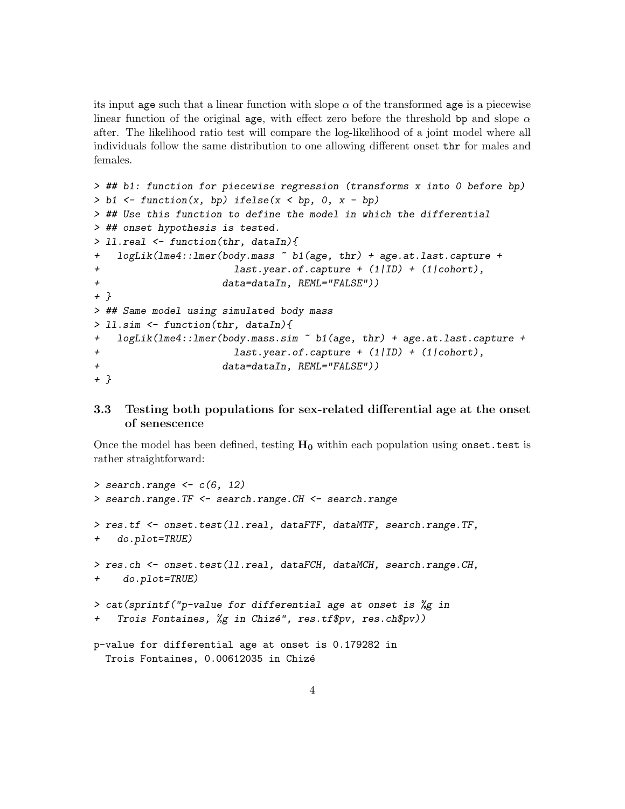its input age such that a linear function with slope  $\alpha$  of the transformed age is a piecewise linear function of the original age, with effect zero before the threshold bp and slope  $\alpha$ after. The likelihood ratio test will compare the log-likelihood of a joint model where all individuals follow the same distribution to one allowing different onset thr for males and females.

```
> ## b1: function for piecewise regression (transforms x into 0 before bp)
> b1 \leq function(x, bp) ifelse(x \leq bp, 0, x - bp)
> ## Use this function to define the model in which the differential
> ## onset hypothesis is tested.
> ll.real <- function(thr, dataIn){
+ logLik(lme4::lmer(body.mass ~ b1(age, thr) + age.at.last.capture +
+ last.year.of.capture + (1|ID) + (1|cohort),
+ data=dataIn, REML="FALSE"))
+ }
> ## Same model using simulated body mass
> ll.sim <- function(thr, dataIn){
+ logLik(lme4::lmer(body.mass.sim ~ b1(age, thr) + age.at.last.capture +
+ last.year.of.capture + (1|ID) + (1|cohort),
+ data=dataIn, REML="FALSE"))
+ }
```
### 3.3 Testing both populations for sex-related differential age at the onset of senescence

Once the model has been defined, testing  $H_0$  within each population using onset.test is rather straightforward:

```
> search.range \leq c(6, 12)> search.range.TF <- search.range.CH <- search.range
> res.tf <- onset.test(ll.real, dataFTF, dataMTF, search.range.TF,
+ do.plot=TRUE)
> res.ch <- onset.test(ll.real, dataFCH, dataMCH, search.range.CH,
+ do.plot=TRUE)
> cat(sprintf("p-value for differential age at onset is %g in
+ Trois Fontaines, %g in Chizé", res.tf$pv, res.ch$pv))
p-value for differential age at onset is 0.179282 in
  Trois Fontaines, 0.00612035 in Chizé
```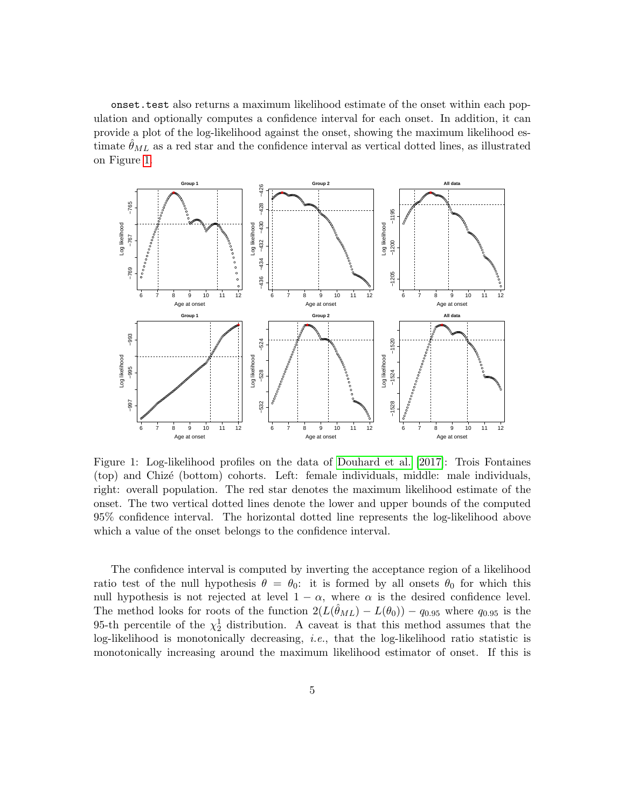onset.test also returns a maximum likelihood estimate of the onset within each population and optionally computes a confidence interval for each onset. In addition, it can provide a plot of the log-likelihood against the onset, showing the maximum likelihood estimate  $\theta_{ML}$  as a red star and the confidence interval as vertical dotted lines, as illustrated on Figure [1.](#page-4-0)



<span id="page-4-0"></span>Figure 1: Log-likelihood profiles on the data of [Douhard et al.](#page-16-0) [\[2017\]](#page-16-0): Trois Fontaines (top) and Chiz´e (bottom) cohorts. Left: female individuals, middle: male individuals, right: overall population. The red star denotes the maximum likelihood estimate of the onset. The two vertical dotted lines denote the lower and upper bounds of the computed 95% confidence interval. The horizontal dotted line represents the log-likelihood above which a value of the onset belongs to the confidence interval.

The confidence interval is computed by inverting the acceptance region of a likelihood ratio test of the null hypothesis  $\theta = \theta_0$ : it is formed by all onsets  $\theta_0$  for which this null hypothesis is not rejected at level  $1 - \alpha$ , where  $\alpha$  is the desired confidence level. The method looks for roots of the function  $2(L(\hat{\theta}_{ML}) - L(\theta_0)) - q_{0.95}$  where  $q_{0.95}$  is the 95-th percentile of the  $\chi^1_2$  distribution. A caveat is that this method assumes that the log-likelihood is monotonically decreasing, i.e., that the log-likelihood ratio statistic is monotonically increasing around the maximum likelihood estimator of onset. If this is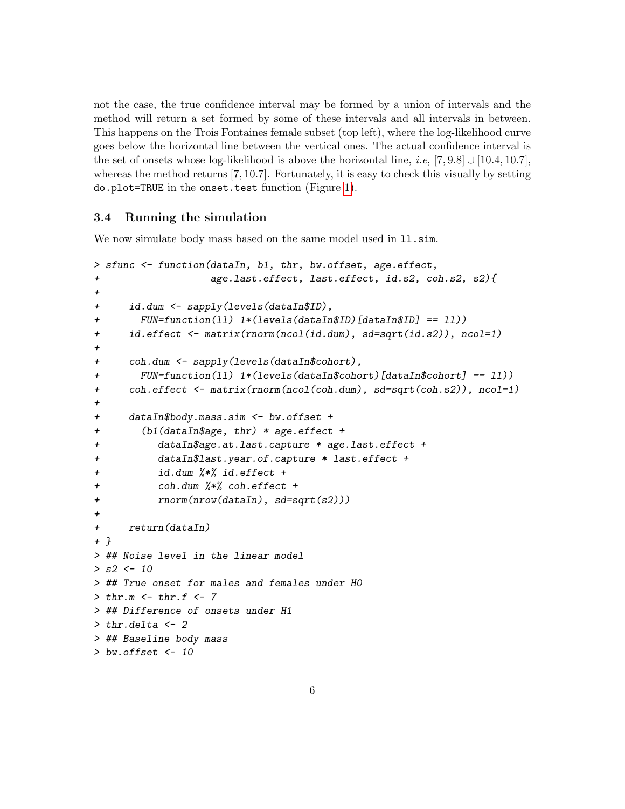not the case, the true confidence interval may be formed by a union of intervals and the method will return a set formed by some of these intervals and all intervals in between. This happens on the Trois Fontaines female subset (top left), where the log-likelihood curve goes below the horizontal line between the vertical ones. The actual confidence interval is the set of onsets whose log-likelihood is above the horizontal line, *i.e*, [7, 9.8] ∪ [10.4, 10.7], whereas the method returns [7, 10.7]. Fortunately, it is easy to check this visually by setting do.plot=TRUE in the onset.test function (Figure [1\)](#page-4-0).

#### 3.4 Running the simulation

We now simulate body mass based on the same model used in 11. sim.

```
> sfunc <- function(dataIn, b1, thr, bw.offset, age.effect,
+ age.last.effect, last.effect, id.s2, coh.s2, s2){
+
+ id.dum <- sapply(levels(dataIn$ID),
+ FUN=function(ll) 1*(levels(dataIn$ID)[dataIn$ID] == ll))
+ id.effect <- matrix(rnorm(ncol(id.dum), sd=sqrt(id.s2)), ncol=1)
+
+ coh.dum <- sapply(levels(dataIn$cohort),
+ FUN=function(ll) 1*(levels(dataIn$cohort)[dataIn$cohort] == ll))
+ coh.effect <- matrix(rnorm(ncol(coh.dum), sd=sqrt(coh.s2)), ncol=1)
+
+ dataIn$body.mass.sim <- bw.offset +
+ (b1(dataIn$age, thr) * age.effect +
+ dataIn$age.at.last.capture * age.last.effect +
+ dataIn$last.year.of.capture * last.effect +
+ id.dum %*% id.effect +
+ coh.dum %*% coh.effect +
+ rnorm(nrow(dataIn), sd=sqrt(s2))+
+ return(dataIn)
+ }
> ## Noise level in the linear model
> s2 < -10> ## True onset for males and females under H0
> thr.m < - thr.f < -7> ## Difference of onsets under H1
> thr.delta <- 2
> ## Baseline body mass
> bw.offset <-10
```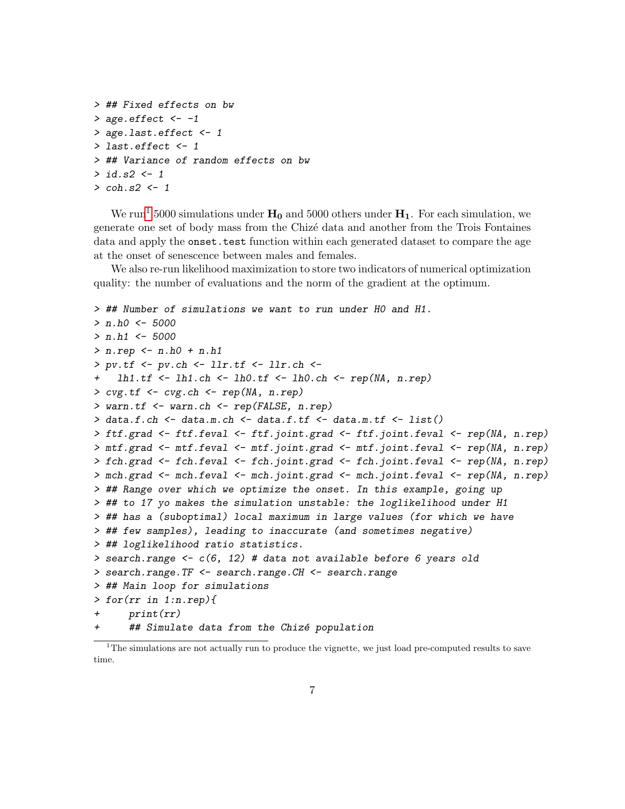```
> ## Fixed effects on bw
> age.effect <-1> age.last.effect <- 1
> last.effect <- 1
> ## Variance of random effects on bw
> id.s2 <- 1
> coh.s2 <- 1
```
We run<sup>[1](#page-6-0)</sup> 5000 simulations under  $H_0$  and 5000 others under  $H_1$ . For each simulation, we generate one set of body mass from the Chizec data and another from the Trois Fontaines data and apply the onset.test function within each generated dataset to compare the age at the onset of senescence between males and females.

We also re-run likelihood maximization to store two indicators of numerical optimization quality: the number of evaluations and the norm of the gradient at the optimum.

```
> ## Number of simulations we want to run under H0 and H1.
> n.h0 < -5000> n.h1 < -5000> n.rep <- n.h0 + n.h1
> pv.tf \leq pv.ch \leq llr.tf \leq llr.ch \leq1h1.tf \leftarrow lh1.ch \leftarrow lh0.tf \leftarrow lh0.ch \leftarrow rep(NA, n.rep)> cvg.tf <- cvg.ch <- rep(NA, n.rep)
> warn.tf <- warn.ch <- rep(FALSE, n.rep)
> data.f.ch \leq data.m.ch \leq data.f.tf \leq data.m.tf \leq list()
> ftf.grad <- ftf.feval <- ftf.joint.grad <- ftf.joint.feval <- rep(NA, n.rep)
> mtf.grad <- mtf.feval <- mtf.joint.grad <- mtf.joint.feval <- rep(NA, n.rep)
> fch.grad <- fch.feval <- fch.joint.grad <- fch.joint.feval <- rep(NA, n.rep)
> mch.grad <- mch.feval <- mch.joint.grad <- mch.joint.feval <- rep(NA, n.rep)
> ## Range over which we optimize the onset. In this example, going up
> ## to 17 yo makes the simulation unstable: the loglikelihood under H1
> ## has a (suboptimal) local maximum in large values (for which we have
> ## few samples), leading to inaccurate (and sometimes negative)
> ## loglikelihood ratio statistics.
> search.range <- c(6, 12) # data not available before 6 years old
> search.range.TF <- search.range.CH <- search.range
> ## Main loop for simulations
> for(rr in 1:n.rep){
      print(rr)## Simulate data from the Chizé population
```
<span id="page-6-0"></span><sup>&</sup>lt;sup>1</sup>The simulations are not actually run to produce the vignette, we just load pre-computed results to save time.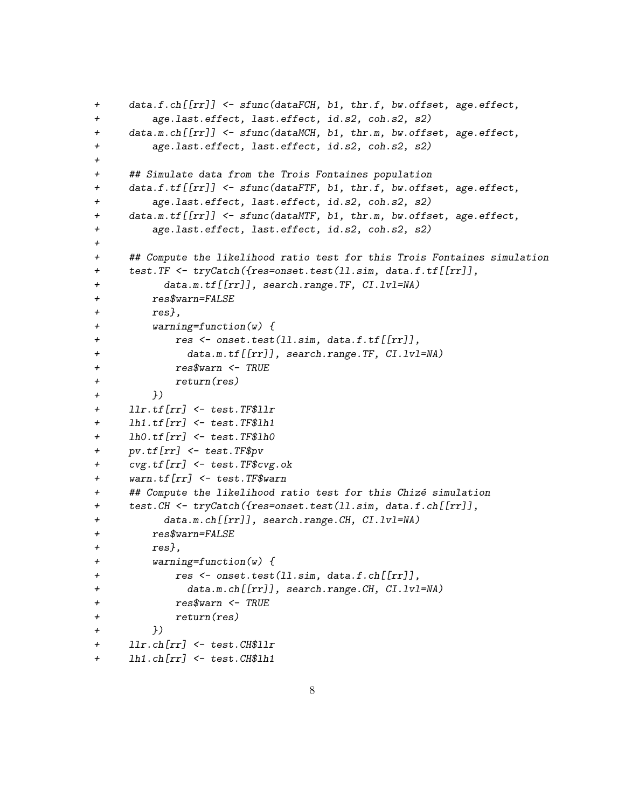```
+ data.f.ch[[rr]] <- sfunc(dataFCH, b1, thr.f, bw.offset, age.effect,
+ age.last.effect, last.effect, id.s2, coh.s2, s2)
+ data.m.ch[[rr]] <- sfunc(dataMCH, b1, thr.m, bw.offset, age.effect,
+ age.last.effect, last.effect, id.s2, coh.s2, s2)
+
+ ## Simulate data from the Trois Fontaines population
+ data.f.tf[[rr]] <- sfunc(dataFTF, b1, thr.f, bw.offset, age.effect,
+ age.last.effect, last.effect, id.s2, coh.s2, s2)
+ data.m.tf[[rr]] <- sfunc(dataMTF, b1, thr.m, bw.offset, age.effect,
+ age.last.effect, last.effect, id.s2, coh.s2, s2)
+
+ ## Compute the likelihood ratio test for this Trois Fontaines simulation
+ test.TF <- tryCatch({res=onset.test(ll.sim, data.f.tf[[rr]],
+ data.m.tf[[rr]], search.range.TF, CI.lvl=NA)
+ res$warn=FALSE
+ res},
+ warning=function(w) {
+ res <- onset.test(ll.sim, data.f.tf[[rr]],
+ data.m.tf[[rr]], search.range.TF, CI.lvl=NA)
+ res$warn <- TRUE
+ return(res)
+ })
+ llr.tf[rr] <- test.TF$llr
+ lh1.tf[rr] <- test.TF$lh1
+ lh0.tf[rr] <- test.TF$lh0
+ pv.tf[rr] <- test.TF$pv
+ cvg.tf[rr] <- test.TF$cvg.ok
+ warn.tf[rr] <- test.TF$warn
+ ## Compute the likelihood ratio test for this Chizé simulation
+ test.CH <- tryCatch({res=onset.test(ll.sim, data.f.ch[[rr]],
+ data.m.ch[[rr]], search.range.CH, CI.lvl=NA)
+ res$warn=FALSE
+ res},
+ warning=function(w) {
+ res <- onset.test(ll.sim, data.f.ch[[rr]],
+ data.m.ch[[rr]], search.range.CH, CI.lvl=NA)
+ res$warn <- TRUE
+ return(res)
+ })
+ llr.ch[rr] <- test.CH$llr
+ lh1.ch[rr] <- test.CH$lh1
```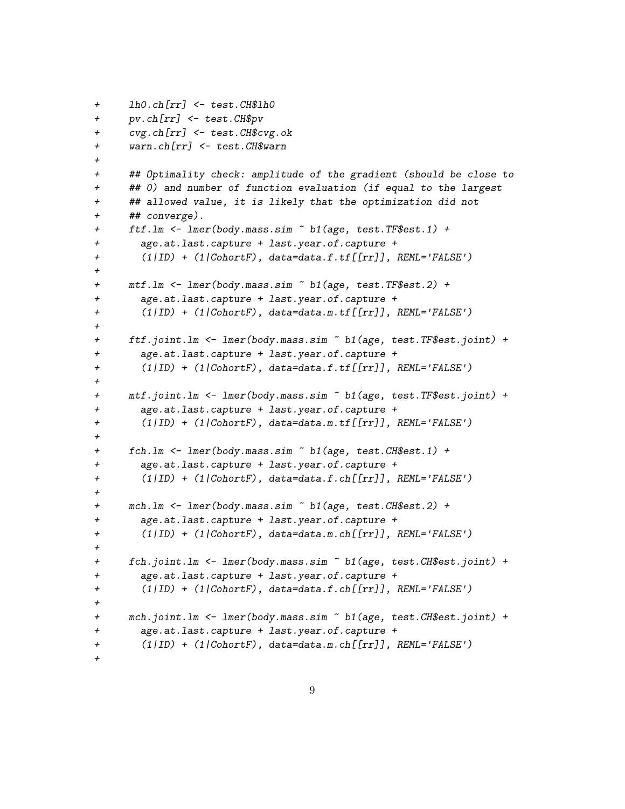```
+ lh0.ch[rr] <- test.CH$lh0
+ pv.ch[rr] <- test.CH$pv
+ cvg.ch[rr] <- test.CH$cvg.ok
+ warn.ch[rr] <- test.CH$warn
+
+ ## Optimality check: amplitude of the gradient (should be close to
+ ## 0) and number of function evaluation (if equal to the largest
+ ## allowed value, it is likely that the optimization did not
+ ## converge).
+ ftf.lm <- lmer(body.mass.sim ~ b1(age, test.TF$est.1) +
+ age.at.last.capture + last.year.of.capture +
+ (1|ID) + (1|CohortF), data=data.f.tf[[rr]], REML='FALSE')
+
+ mtf.lm <- lmer(body.mass.sim ~ b1(age, test.TF$est.2) +
+ age.at.last.capture + last.year.of.capture +
+ (1|ID) + (1|CohortF), data=data.m.tf[[rr]], REML='FALSE')
+
+ ftf.joint.lm <- lmer(body.mass.sim ~ b1(age, test.TF$est.joint) +
+ age.at.last.capture + last.year.of.capture +
+ (1|ID) + (1|CohortF), data=data.f.tf[[rr]], REML='FALSE')
+
+ mtf.joint.lm <- lmer(body.mass.sim ~ b1(age, test.TF$est.joint) +
+ age.at.last.capture + last.year.of.capture +
+ (1|ID) + (1|CohortF), data=data.m.tf[[rr]], REML='FALSE')
+
+ fch.lm <- lmer(body.mass.sim ~ b1(age, test.CH$est.1) +
+ age.at.last.capture + last.year.of.capture +
+ (1|ID) + (1|CohortF), data=data.f.ch[[rr]], REML='FALSE')
+
+ mch.lm <- lmer(body.mass.sim ~ b1(age, test.CH$est.2) +
+ age.at.last.capture + last.year.of.capture +
+ (1|ID) + (1|CohortF), data=data.m.ch[[rr]], REML='FALSE')
+
+ fch.joint.lm <- lmer(body.mass.sim ~ b1(age, test.CH$est.joint) +
+ age.at.last.capture + last.year.of.capture +
+ (1|ID) + (1|CohortF), data=data.f.ch[[rr]], REML='FALSE')
+
+ mch.joint.lm <- lmer(body.mass.sim ~ b1(age, test.CH$est.joint) +
+ age.at.last.capture + last.year.of.capture +
+ (1|ID) + (1|CohortF), data=data.m.ch[[rr]], REML='FALSE')
+
```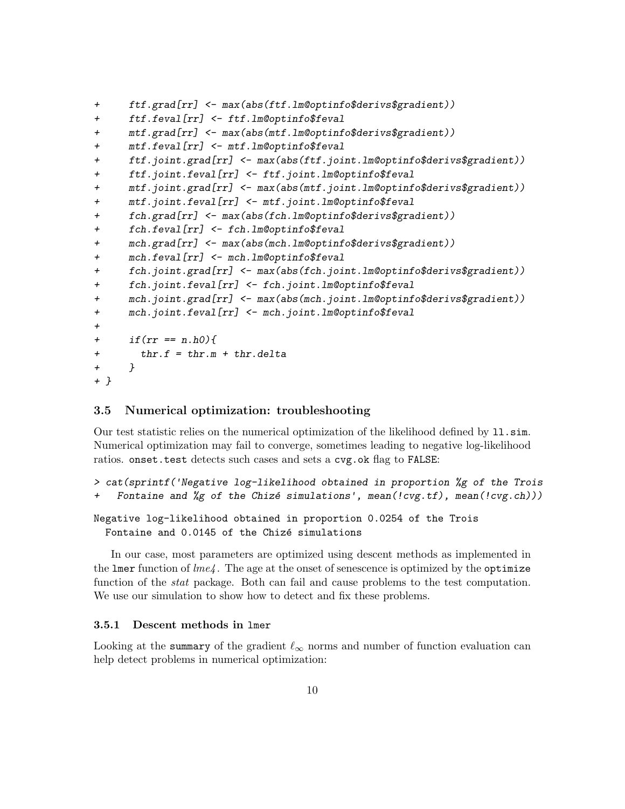```
+ ftf.grad[rr] <- max(abs(ftf.lm@optinfo$derivs$gradient))
+ ftf.feval[rr] <- ftf.lm@optinfo$feval
+ mtf.grad[rr] <- max(abs(mtf.lm@optinfo$derivs$gradient))
+ mtf.feval[rr] <- mtf.lm@optinfo$feval
+ ftf.joint.grad[rr] <- max(abs(ftf.joint.lm@optinfo$derivs$gradient))
+ ftf.joint.feval[rr] <- ftf.joint.lm@optinfo$feval
+ mtf.joint.grad[rr] <- max(abs(mtf.joint.lm@optinfo$derivs$gradient))
+ mtf.joint.feval[rr] <- mtf.joint.lm@optinfo$feval
+ fch.grad[rr] <- max(abs(fch.lm@optinfo$derivs$gradient))
+ fch.feval[rr] <- fch.lm@optinfo$feval
+ mch.grad[rr] <- max(abs(mch.lm@optinfo$derivs$gradient))
+ mch.feval[rr] <- mch.lm@optinfo$feval
+ fch.joint.grad[rr] <- max(abs(fch.joint.lm@optinfo$derivs$gradient))
+ fch.joint.feval[rr] <- fch.joint.lm@optinfo$feval
+ mch.joint.grad[rr] <- max(abs(mch.joint.lm@optinfo$derivs$gradient))
+ mch.joint.feval[rr] <- mch.joint.lm@optinfo$feval
+
+ if(rr == n.h0){
+ thr.f = thr.m + thr.delta
+ }
+ }
```
### 3.5 Numerical optimization: troubleshooting

Our test statistic relies on the numerical optimization of the likelihood defined by 11.sim. Numerical optimization may fail to converge, sometimes leading to negative log-likelihood ratios. onset.test detects such cases and sets a cvg.ok flag to FALSE:

```
> cat(sprintf('Negative log-likelihood obtained in proportion %g of the Trois
+ Fontaine and %g of the Chizé simulations', mean(!cvg.tf), mean(!cvg.ch)))
```

```
Negative log-likelihood obtained in proportion 0.0254 of the Trois
 Fontaine and 0.0145 of the Chizé simulations
```
In our case, most parameters are optimized using descent methods as implemented in the lmer function of  $lme4$ . The age at the onset of senescence is optimized by the optimize function of the *stat* package. Both can fail and cause problems to the test computation. We use our simulation to show how to detect and fix these problems.

#### 3.5.1 Descent methods in lmer

Looking at the summary of the gradient  $\ell_{\infty}$  norms and number of function evaluation can help detect problems in numerical optimization: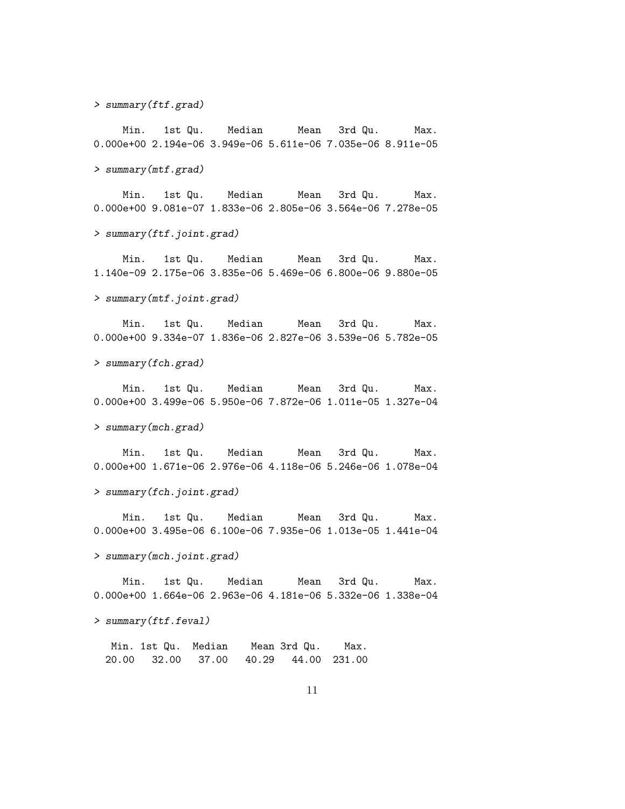> summary(ftf.grad)

Min. 1st Qu. Median Mean 3rd Qu. Max. 0.000e+00 2.194e-06 3.949e-06 5.611e-06 7.035e-06 8.911e-05

> summary(mtf.grad)

Min. 1st Qu. Median Mean 3rd Qu. Max. 0.000e+00 9.081e-07 1.833e-06 2.805e-06 3.564e-06 7.278e-05

> summary(ftf.joint.grad)

Min. 1st Qu. Median Mean 3rd Qu. Max. 1.140e-09 2.175e-06 3.835e-06 5.469e-06 6.800e-06 9.880e-05

> summary(mtf.joint.grad)

Min. 1st Qu. Median Mean 3rd Qu. Max. 0.000e+00 9.334e-07 1.836e-06 2.827e-06 3.539e-06 5.782e-05

> summary(fch.grad)

Min. 1st Qu. Median Mean 3rd Qu. Max. 0.000e+00 3.499e-06 5.950e-06 7.872e-06 1.011e-05 1.327e-04

> summary(mch.grad)

Min. 1st Qu. Median Mean 3rd Qu. Max. 0.000e+00 1.671e-06 2.976e-06 4.118e-06 5.246e-06 1.078e-04

> summary(fch.joint.grad)

Min. 1st Qu. Median Mean 3rd Qu. Max. 0.000e+00 3.495e-06 6.100e-06 7.935e-06 1.013e-05 1.441e-04

> summary(mch.joint.grad)

Min. 1st Qu. Median Mean 3rd Qu. Max. 0.000e+00 1.664e-06 2.963e-06 4.181e-06 5.332e-06 1.338e-04

> summary(ftf.feval)

Min. 1st Qu. Median Mean 3rd Qu. Max. 20.00 32.00 37.00 40.29 44.00 231.00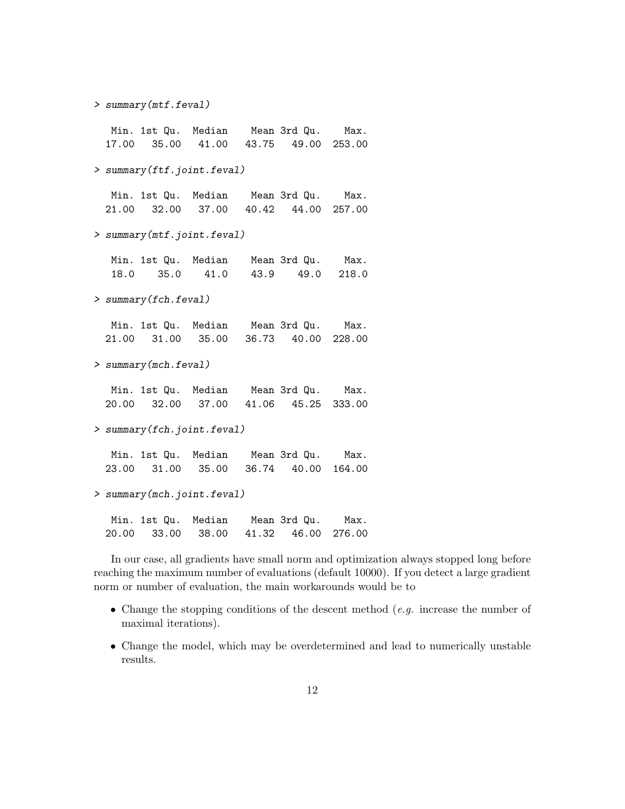> summary(mtf.feval)

Min. 1st Qu. Median Mean 3rd Qu. Max. 17.00 35.00 41.00 43.75 49.00 253.00

> summary(ftf.joint.feval)

Min. 1st Qu. Median Mean 3rd Qu. Max. 21.00 32.00 37.00 40.42 44.00 257.00

> summary(mtf.joint.feval)

| Min. 1st Qu. Median | Mean 3rd Qu.         | Max. |
|---------------------|----------------------|------|
| 18.0 35.0           | 41.0 43.9 49.0 218.0 |      |

> summary(fch.feval)

Min. 1st Qu. Median Mean 3rd Qu. Max. 21.00 31.00 35.00 36.73 40.00 228.00

> summary(mch.feval)

Min. 1st Qu. Median Mean 3rd Qu. Max. 20.00 32.00 37.00 41.06 45.25 333.00

> summary(fch.joint.feval)

Min. 1st Qu. Median Mean 3rd Qu. Max. 23.00 31.00 35.00 36.74 40.00 164.00

> summary(mch.joint.feval)

Min. 1st Qu. Median Mean 3rd Qu. Max. 20.00 33.00 38.00 41.32 46.00 276.00

In our case, all gradients have small norm and optimization always stopped long before reaching the maximum number of evaluations (default 10000). If you detect a large gradient norm or number of evaluation, the main workarounds would be to

- Change the stopping conditions of the descent method  $(e.g.)$  increase the number of maximal iterations).
- Change the model, which may be overdetermined and lead to numerically unstable results.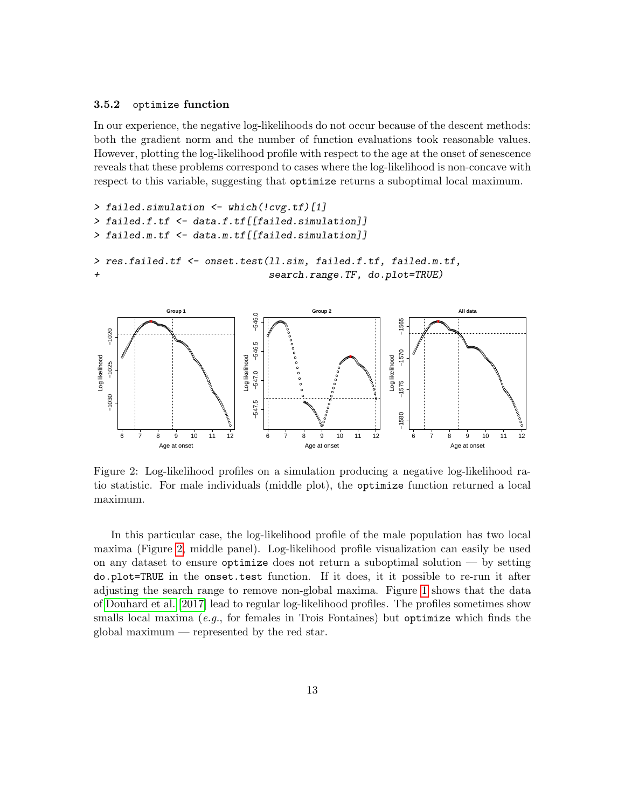#### 3.5.2 optimize function

In our experience, the negative log-likelihoods do not occur because of the descent methods: both the gradient norm and the number of function evaluations took reasonable values. However, plotting the log-likelihood profile with respect to the age at the onset of senescence reveals that these problems correspond to cases where the log-likelihood is non-concave with respect to this variable, suggesting that optimize returns a suboptimal local maximum.

```
> failed.simulation <- which(!cvg.tf)[1]
> failed.f.tf <- data.f.tf[[failed.simulation]]
> failed.m.tf <- data.m.tf[[failed.simulation]]
> res.failed.tf <- onset.test(ll.sim, failed.f.tf, failed.m.tf,
+ search.range.TF, do.plot=TRUE)
```


<span id="page-12-0"></span>Figure 2: Log-likelihood profiles on a simulation producing a negative log-likelihood ratio statistic. For male individuals (middle plot), the optimize function returned a local maximum.

In this particular case, the log-likelihood profile of the male population has two local maxima (Figure [2,](#page-12-0) middle panel). Log-likelihood profile visualization can easily be used on any dataset to ensure optimize does not return a suboptimal solution — by setting do.plot=TRUE in the onset.test function. If it does, it it possible to re-run it after adjusting the search range to remove non-global maxima. Figure [1](#page-4-0) shows that the data of [Douhard et al.](#page-16-0) [\[2017\]](#page-16-0) lead to regular log-likelihood profiles. The profiles sometimes show smalls local maxima (e.g., for females in Trois Fontaines) but optimize which finds the global maximum — represented by the red star.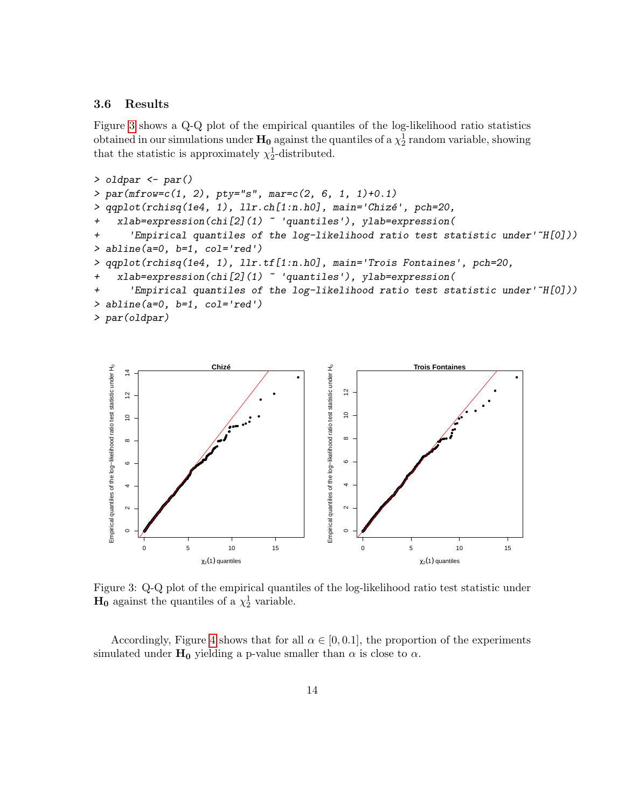#### 3.6 Results

Figure [3](#page-13-0) shows a Q-Q plot of the empirical quantiles of the log-likelihood ratio statistics obtained in our simulations under  $\mathbf{H_0}$  against the quantiles of a  $\chi_2^1$  random variable, showing that the statistic is approximately  $\chi_2^1$ -distributed.

```
> oldpar \leq par()
> par(mfrow=c(1, 2), pty="s", mar=c(2, 6, 1, 1)+0.1)
> qqplot(rchisq(1e4, 1), llr.ch[1:n.h0], main='Chizé', pch=20,
+ xlab=expression(chi[2](1) ~ 'quantiles'), ylab=expression(
+ 'Empirical quantiles of the log-likelihood ratio test statistic under'~H[0]))
> abline(a=0, b=1, col='red')
> qqplot(rchisq(1e4, 1), llr.tf[1:n.h0], main='Trois Fontaines', pch=20,
+ xlab=expression(chi[2](1) ~ 'quantiles'), ylab=expression(
+ 'Empirical quantiles of the log-likelihood ratio test statistic under'~H[0]))
> abline(a=0, b=1, col='red')
> par(oldpar)
```


<span id="page-13-0"></span>Figure 3: Q-Q plot of the empirical quantiles of the log-likelihood ratio test statistic under  $H_0$  against the quantiles of a  $\chi_2^1$  variable.

Accordingly, Figure [4](#page-14-0) shows that for all  $\alpha \in [0, 0.1]$ , the proportion of the experiments simulated under  $H_0$  yielding a p-value smaller than  $\alpha$  is close to  $\alpha$ .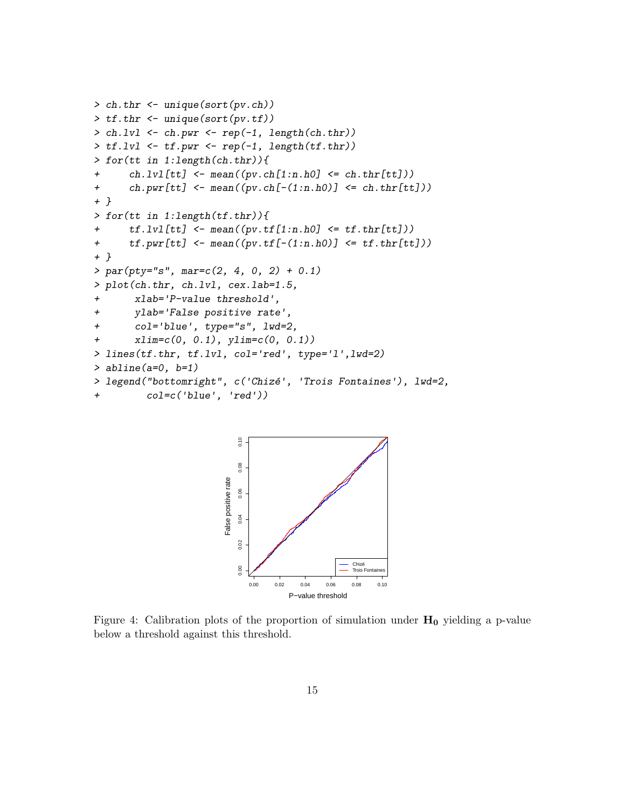```
> ch.thr <- unique(sort(pv.ch))
> tf.thr <- unique(sort(pv.tf))
> ch.lvl <- ch.pwr <- rep(-1, length(ch.thr))
> tf.lvl \leftarrow tf.pwr \leftarrow rep(-1, length(tf.thr))> for(tt in 1:length(ch.thr)){
+ ch.lvl[tt] <- mean((pv.ch[1:n.h0] \le ch.thr[tt]))+ ch.pwr[tt] \leftarrow mean((pv.ch[-(1:n.h0)] \leftarrow ch.thr[tt]))
+ }
> for(tt in 1:length(tf.thr)){
+ tf.lvl[tt] <- mean((pv.tf[1:n.h0] <= tf.thr[tt]))
+ tf. pwr[tt] \leftarrow mean((pv.tf[-(1:n.h0))] \leftarrow tf.thr[tt]))+ }
> par(pty="s", mar=c(2, 4, 0, 2) + 0.1)> plot(ch.thr, ch.lvl, cex.lab=1.5,
+ xlab='P-value threshold',
+ ylab='False positive rate',
+ col='blue', type="s", lwd=2,
+ xlim=c(0, 0.1), ylim=c(0, 0.1))
> lines(tf.thr, tf.lvl, col='red', type='l',lwd=2)
> abline(a=0, b=1)
> legend("bottomright", c('Chizé', 'Trois Fontaines'), lwd=2,
+ col=c('blue', 'red'))
```


<span id="page-14-0"></span>Figure 4: Calibration plots of the proportion of simulation under  $H_0$  yielding a p-value below a threshold against this threshold.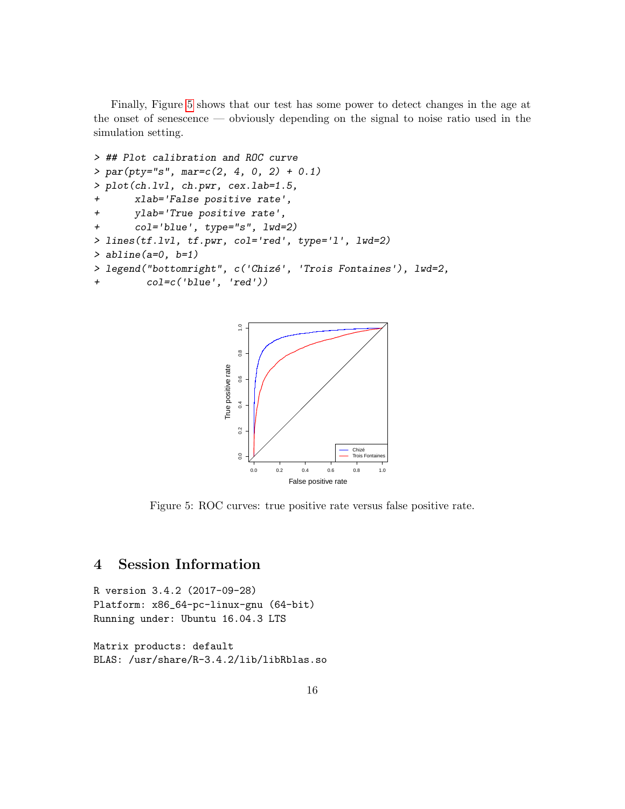Finally, Figure [5](#page-15-0) shows that our test has some power to detect changes in the age at the onset of senescence — obviously depending on the signal to noise ratio used in the simulation setting.

```
> ## Plot calibration and ROC curve
> par(pty="s", mar=c(2, 4, 0, 2) + 0.1)> plot(ch.lvl, ch.pwr, cex.lab=1.5,
+ xlab='False positive rate',
+ ylab='True positive rate',
+ col='blue', type="s", lwd=2)
> lines(tf.lvl, tf.pwr, col='red', type='l', lwd=2)
> abline(a=0, b=1)
> legend("bottomright", c('Chizé', 'Trois Fontaines'), lwd=2,
+ col=c('blue', 'red'))
```


<span id="page-15-0"></span>Figure 5: ROC curves: true positive rate versus false positive rate.

## 4 Session Information

R version 3.4.2 (2017-09-28) Platform: x86\_64-pc-linux-gnu (64-bit) Running under: Ubuntu 16.04.3 LTS

Matrix products: default BLAS: /usr/share/R-3.4.2/lib/libRblas.so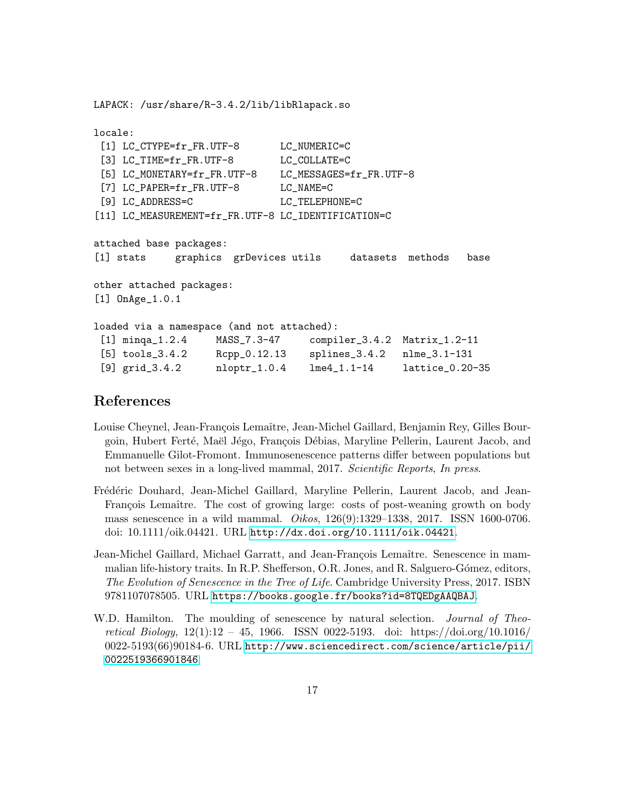LAPACK: /usr/share/R-3.4.2/lib/libRlapack.so

```
locale:
 [1] LC_CTYPE=fr_FR.UTF-8 LC_NUMERIC=C
 [3] LC_TIME=fr_FR.UTF-8 LC_COLLATE=C
[5] LC_MONETARY=fr_FR.UTF-8 LC_MESSAGES=fr_FR.UTF-8
[7] LC_PAPER=fr_FR.UTF-8 LC_NAME=C
 [9] LC_ADDRESS=C LC_TELEPHONE=C
[11] LC_MEASUREMENT=fr_FR.UTF-8 LC_IDENTIFICATION=C
attached base packages:
[1] stats graphics grDevices utils datasets methods base
other attached packages:
[1] OnAge_1.0.1
loaded via a namespace (and not attached):
 [1] minqa_1.2.4 MASS_7.3-47 compiler_3.4.2 Matrix_1.2-11
[5] tools_3.4.2 Rcpp_0.12.13 splines_3.4.2 nlme_3.1-131
[9] grid_3.4.2 nloptr_1.0.4 lme4_1.1-14 lattice_0.20-35
```
### References

- <span id="page-16-2"></span>Louise Cheynel, Jean-François Lemaître, Jean-Michel Gaillard, Benjamin Rey, Gilles Bourgoin, Hubert Ferté, Maël Jégo, François Débias, Maryline Pellerin, Laurent Jacob, and Emmanuelle Gilot-Fromont. Immunosenescence patterns differ between populations but not between sexes in a long-lived mammal, 2017. Scientific Reports, In press.
- <span id="page-16-0"></span>Frédéric Douhard, Jean-Michel Gaillard, Maryline Pellerin, Laurent Jacob, and Jean-François Lemaître. The cost of growing large: costs of post-weaning growth on body mass senescence in a wild mammal. Oikos, 126(9):1329–1338, 2017. ISSN 1600-0706. doi: 10.1111/oik.04421. URL <http://dx.doi.org/10.1111/oik.04421>.
- <span id="page-16-1"></span>Jean-Michel Gaillard, Michael Garratt, and Jean-François Lemaître. Senescence in mammalian life-history traits. In R.P. Shefferson, O.R. Jones, and R. Salguero-Gómez, editors, The Evolution of Senescence in the Tree of Life. Cambridge University Press, 2017. ISBN 9781107078505. URL <https://books.google.fr/books?id=8TQEDgAAQBAJ>.
- <span id="page-16-3"></span>W.D. Hamilton. The moulding of senescence by natural selection. *Journal of Theo*retical Biology, 12(1):12 – 45, 1966. ISSN 0022-5193. doi: https://doi.org/10.1016/ 0022-5193(66)90184-6. URL [http://www.sciencedirect.com/science/article/pii/](http://www.sciencedirect.com/science/article/pii/0022519366901846) [0022519366901846](http://www.sciencedirect.com/science/article/pii/0022519366901846).